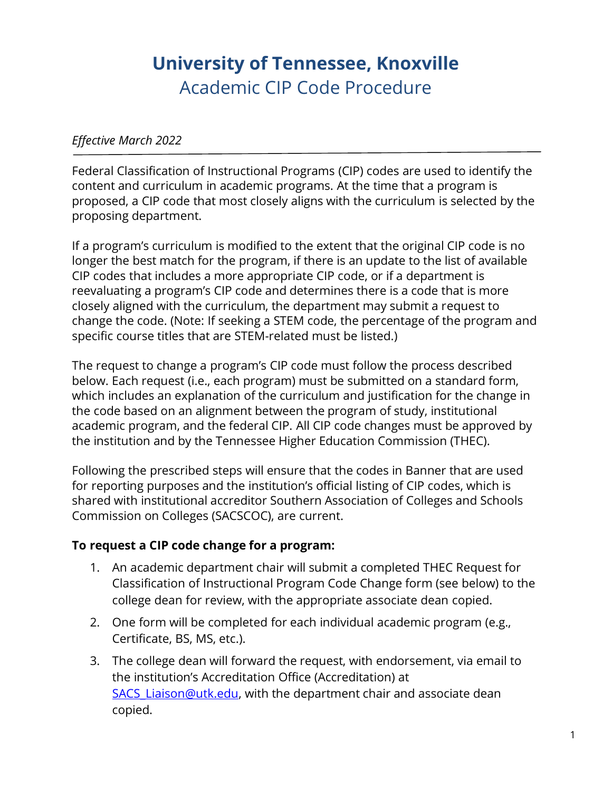## **University of Tennessee, Knoxville** Academic CIP Code Procedure

## *Effective March 2022*

Federal Classification of Instructional Programs (CIP) codes are used to identify the content and curriculum in academic programs. At the time that a program is proposed, a CIP code that most closely aligns with the curriculum is selected by the proposing department.

If a program's curriculum is modified to the extent that the original CIP code is no longer the best match for the program, if there is an update to the list of available CIP codes that includes a more appropriate CIP code, or if a department is reevaluating a program's CIP code and determines there is a code that is more closely aligned with the curriculum, the department may submit a request to change the code. (Note: If seeking a STEM code, the percentage of the program and specific course titles that are STEM-related must be listed.)

The request to change a program's CIP code must follow the process described below. Each request (i.e., each program) must be submitted on a standard form, which includes an explanation of the curriculum and justification for the change in the code based on an alignment between the program of study, institutional academic program, and the federal CIP. All CIP code changes must be approved by the institution and by the Tennessee Higher Education Commission (THEC).

Following the prescribed steps will ensure that the codes in Banner that are used for reporting purposes and the institution's official listing of CIP codes, which is shared with institutional accreditor Southern Association of Colleges and Schools Commission on Colleges (SACSCOC), are current.

## **To request a CIP code change for a program:**

- 1. An academic department chair will submit a completed THEC Request for Classification of Instructional Program Code Change form (see below) to the college dean for review, with the appropriate associate dean copied.
- 2. One form will be completed for each individual academic program (e.g., Certificate, BS, MS, etc.).
- 3. The college dean will forward the request, with endorsement, via email to the institution's Accreditation Office (Accreditation) at SACS Liaison@utk.edu, with the department chair and associate dean copied.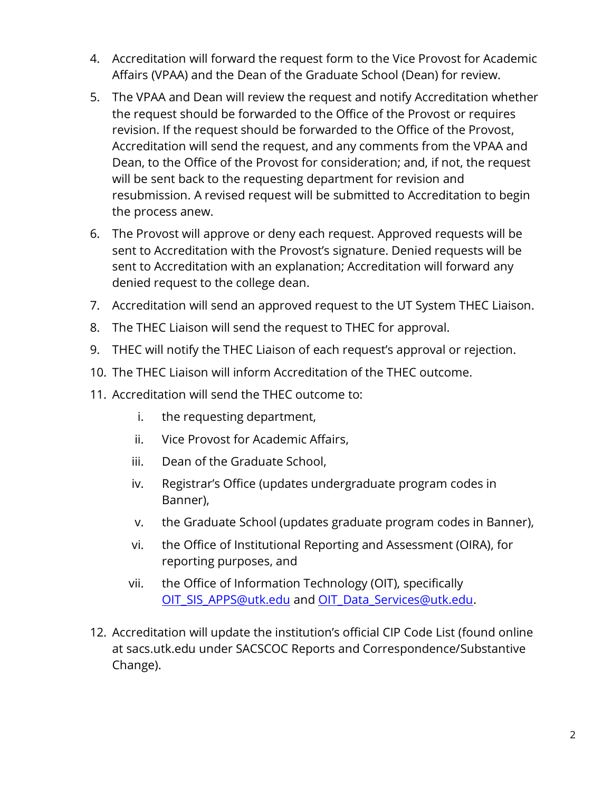- 4. Accreditation will forward the request form to the Vice Provost for Academic Affairs (VPAA) and the Dean of the Graduate School (Dean) for review.
- 5. The VPAA and Dean will review the request and notify Accreditation whether the request should be forwarded to the Office of the Provost or requires revision. If the request should be forwarded to the Office of the Provost, Accreditation will send the request, and any comments from the VPAA and Dean, to the Office of the Provost for consideration; and, if not, the request will be sent back to the requesting department for revision and resubmission. A revised request will be submitted to Accreditation to begin the process anew.
- 6. The Provost will approve or deny each request. Approved requests will be sent to Accreditation with the Provost's signature. Denied requests will be sent to Accreditation with an explanation; Accreditation will forward any denied request to the college dean.
- 7. Accreditation will send an approved request to the UT System THEC Liaison.
- 8. The THEC Liaison will send the request to THEC for approval.
- 9. THEC will notify the THEC Liaison of each request's approval or rejection.
- 10. The THEC Liaison will inform Accreditation of the THEC outcome.
- 11. Accreditation will send the THEC outcome to:
	- i. the requesting department,
	- ii. Vice Provost for Academic Affairs,
	- iii. Dean of the Graduate School,
	- iv. Registrar's Office (updates undergraduate program codes in Banner),
	- v. the Graduate School (updates graduate program codes in Banner),
	- vi. the Office of Institutional Reporting and Assessment (OIRA), for reporting purposes, and
	- vii. the Office of Information Technology (OIT), specifically [OIT\\_SIS\\_APPS@utk.edu](mailto:OIT_SIS_APPS@utk.edu) and [OIT\\_Data\\_Services@utk.edu.](mailto:OIT_Data_Services@utk.edu)
- 12. Accreditation will update the institution's official CIP Code List (found online at sacs.utk.edu under SACSCOC Reports and Correspondence/Substantive Change).